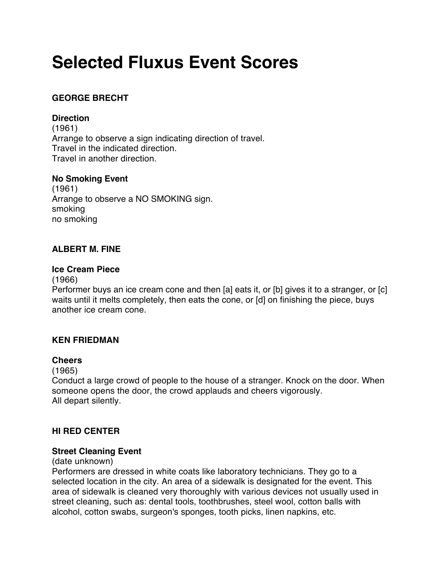# **Selected Fluxus Event Scores**

# **GEORGE BRECHT**

# **Direction**

(1961) Arrange to observe a sign indicating direction of travel. Travel in the indicated direction. Travel in another direction.

# **No Smoking Event**

(1961) Arrange to observe a NO SMOKING sign. smoking no smoking

# **ALBERT M. FINE**

#### **Ice Cream Piece**

(1966)

Performer buys an ice cream cone and then [a] eats it, or [b] gives it to a stranger, or [c] waits until it melts completely, then eats the cone, or [d] on finishing the piece, buys another ice cream cone.

# **KEN FRIEDMAN**

# **Cheers**

(1965)

Conduct a large crowd of people to the house of a stranger. Knock on the door. When someone opens the door, the crowd applauds and cheers vigorously. All depart silently.

# **HI RED CENTER**

# **Street Cleaning Event**

(date unknown)

Performers are dressed in white coats like laboratory technicians. They go to a selected location in the city. An area of a sidewalk is designated for the event. This area of sidewalk is cleaned very thoroughly with various devices not usually used in street cleaning, such as: dental tools, toothbrushes, steel wool, cotton balls with alcohol, cotton swabs, surgeon's sponges, tooth picks, linen napkins, etc.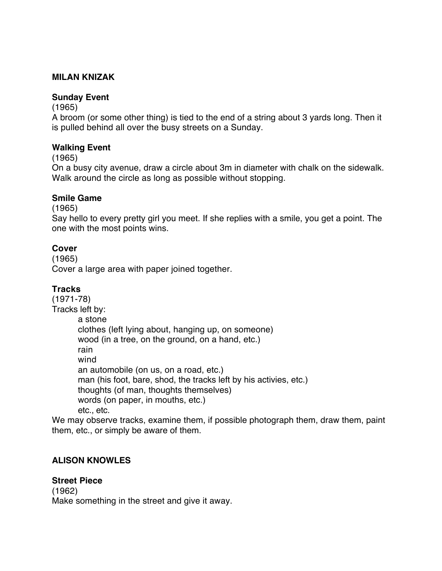# **MILAN KNIZAK**

#### **Sunday Event**

(1965)

A broom (or some other thing) is tied to the end of a string about 3 yards long. Then it is pulled behind all over the busy streets on a Sunday.

#### **Walking Event**

(1965)

On a busy city avenue, draw a circle about 3m in diameter with chalk on the sidewalk. Walk around the circle as long as possible without stopping.

#### **Smile Game**

(1965)

Say hello to every pretty girl you meet. If she replies with a smile, you get a point. The one with the most points wins.

#### **Cover**

(1965)

Cover a large area with paper joined together.

# **Tracks**

(1971-78) Tracks left by: a stone clothes (left lying about, hanging up, on someone) wood (in a tree, on the ground, on a hand, etc.) rain wind an automobile (on us, on a road, etc.) man (his foot, bare, shod, the tracks left by his activies, etc.) thoughts (of man, thoughts themselves) words (on paper, in mouths, etc.) etc., etc.

We may observe tracks, examine them, if possible photograph them, draw them, paint them, etc., or simply be aware of them.

# **ALISON KNOWLES**

#### **Street Piece**

(1962) Make something in the street and give it away.